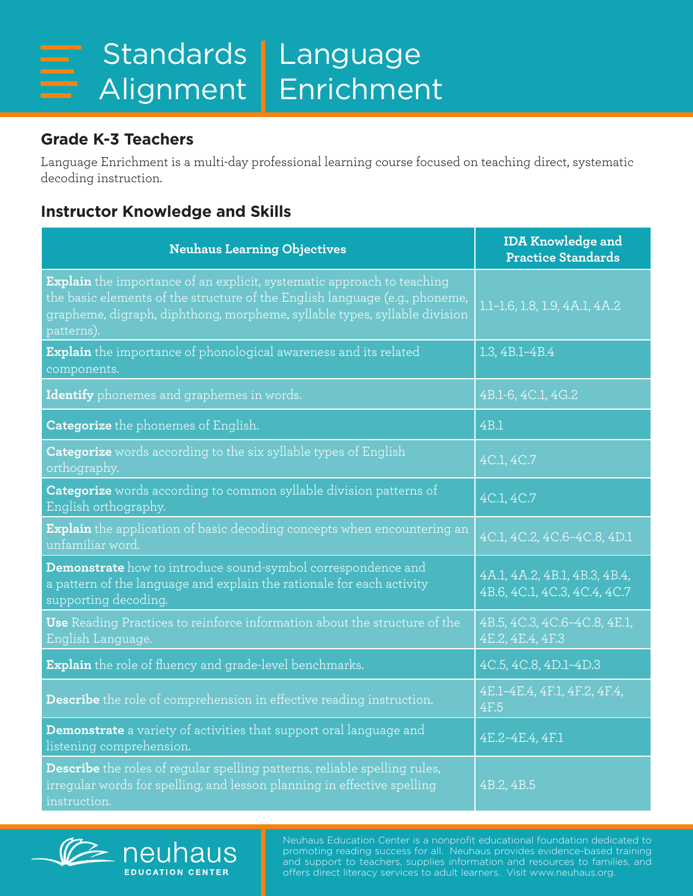## **Grade K-3 Teachers**

Language Enrichment is a multi-day professional learning course focused on teaching direct, systematic decoding instruction.

## **Instructor Knowledge and Skills**

| <b>Neuhaus Learning Objectives</b>                                                                                                                                                                                                               | <b>IDA Knowledge and</b><br><b>Practice Standards</b>         |
|--------------------------------------------------------------------------------------------------------------------------------------------------------------------------------------------------------------------------------------------------|---------------------------------------------------------------|
| Explain the importance of an explicit, systematic approach to teaching<br>the basic elements of the structure of the English language (e.g., phoneme,<br>grapheme, digraph, diphthong, morpheme, syllable types, syllable division<br>patterns). | 1.1-1.6, 1.8, 1.9, 4A.1, 4A.2                                 |
| <b>Explain</b> the importance of phonological awareness and its related<br>components.                                                                                                                                                           | 1.3, 4B.1-4B.4                                                |
| Identify phonemes and graphemes in words.                                                                                                                                                                                                        | 4B.1-6, 4C.1, 4G.2                                            |
| <b>Categorize</b> the phonemes of English.                                                                                                                                                                                                       | 4B.1                                                          |
| <b>Categorize</b> words according to the six syllable types of English<br>orthography.                                                                                                                                                           | 4C.1, 4C.7                                                    |
| Categorize words according to common syllable division patterns of<br>English orthography.                                                                                                                                                       | 4C.1, 4C.7                                                    |
| <b>Explain</b> the application of basic decoding concepts when encountering an<br>unfamiliar word.                                                                                                                                               | 4C.1, 4C.2, 4C.6-4C.8, 4D.1                                   |
| Demonstrate how to introduce sound-symbol correspondence and<br>a pattern of the language and explain the rationale for each activity<br>supporting decoding.                                                                                    | 4A.1, 4A.2, 4B.1, 4B.3, 4B.4,<br>4B.6, 4C.1, 4C.3, 4C.4, 4C.7 |
| Use Reading Practices to reinforce information about the structure of the<br>English Language.                                                                                                                                                   | 4B.5, 4C.3, 4C.6-4C.8, 4E.1,<br>4E.2, 4E.4, 4F.3              |
| Explain the role of fluency and grade-level benchmarks.                                                                                                                                                                                          | 4C.5, 4C.8, 4D.1-4D.3                                         |
| Describe the role of comprehension in effective reading instruction.                                                                                                                                                                             | 4E.1-4E.4, 4F.1, 4F.2, 4F.4,<br>4F.5                          |
| Demonstrate a variety of activities that support oral language and<br>listening comprehension.                                                                                                                                                   | 4E.2-4E.4, 4F.1                                               |
| Describe the roles of regular spelling patterns, reliable spelling rules,<br>irregular words for spelling, and lesson planning in effective spelling<br>instruction.                                                                             | 4B.2, 4B.5                                                    |



Neuhaus Education Center is a nonprofit educational foundation dedicated to promoting reading success for all. Neuhaus provides evidence-based training and support to teachers, supplies information and resources to families, and offers direct literacy services to adult learners. Visit www.neuhaus.org.